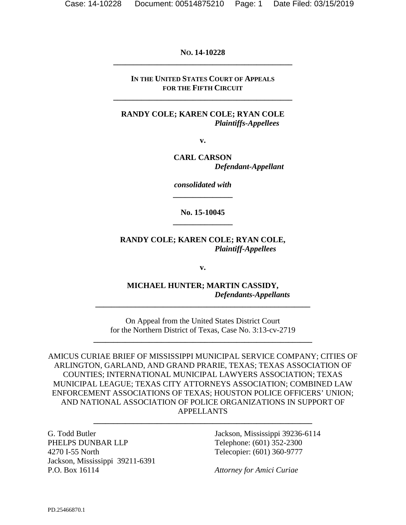#### **NO. 14-10228 \_\_\_\_\_\_\_\_\_\_\_\_\_\_\_\_\_\_\_\_\_\_\_\_\_\_\_\_\_\_\_\_\_\_\_\_\_\_\_\_\_\_\_\_\_**

#### **IN THE UNITED STATES COURT OF APPEALS FOR THE FIFTH CIRCUIT**

**\_\_\_\_\_\_\_\_\_\_\_\_\_\_\_\_\_\_\_\_\_\_\_\_\_\_\_\_\_\_\_\_\_\_\_\_\_\_\_\_\_\_\_\_\_** 

#### **RANDY COLE; KAREN COLE; RYAN COLE**  *Plaintiffs-Appellees*

**v.** 

**CARL CARSON**  *Defendant-Appellant* 

*consolidated with*  **\_\_\_\_\_\_\_\_\_\_\_\_\_\_\_** 

**No. 15-10045 \_\_\_\_\_\_\_\_\_\_\_\_\_\_\_** 

**RANDY COLE; KAREN COLE; RYAN COLE,**  *Plaintiff-Appellees* 

**v.** 

**MICHAEL HUNTER; MARTIN CASSIDY,**  *Defendants-Appellants* 

On Appeal from the United States District Court for the Northern District of Texas, Case No. 3:13-cv-2719

**\_\_\_\_\_\_\_\_\_\_\_\_\_\_\_\_\_\_\_\_\_\_\_\_\_\_\_\_\_\_\_\_\_\_\_\_\_\_\_\_\_\_\_\_\_\_\_\_\_\_\_\_\_\_\_** 

**\_\_\_\_\_\_\_\_\_\_\_\_\_\_\_\_\_\_\_\_\_\_\_\_\_\_\_\_\_\_\_\_\_\_\_\_\_\_\_\_\_\_\_\_\_\_\_\_\_\_\_\_\_\_** 

AMICUS CURIAE BRIEF OF MISSISSIPPI MUNICIPAL SERVICE COMPANY; CITIES OF ARLINGTON, GARLAND, AND GRAND PRARIE, TEXAS; TEXAS ASSOCIATION OF COUNTIES; INTERNATIONAL MUNICIPAL LAWYERS ASSOCIATION; TEXAS MUNICIPAL LEAGUE; TEXAS CITY ATTORNEYS ASSOCIATION; COMBINED LAW ENFORCEMENT ASSOCIATIONS OF TEXAS; HOUSTON POLICE OFFICERS' UNION; AND NATIONAL ASSOCIATION OF POLICE ORGANIZATIONS IN SUPPORT OF APPELLANTS

**\_\_\_\_\_\_\_\_\_\_\_\_\_\_\_\_\_\_\_\_\_\_\_\_\_\_\_\_\_\_\_\_\_\_\_\_\_\_\_\_\_\_\_\_\_\_\_\_\_\_\_\_\_\_\_** 

G. Todd Butler PHELPS DUNBAR LLP 4270 I-55 North Jackson, Mississippi 39211-6391 P.O. Box 16114

Jackson, Mississippi 39236-6114 Telephone: (601) 352-2300 Telecopier: (601) 360-9777

*Attorney for Amici Curiae*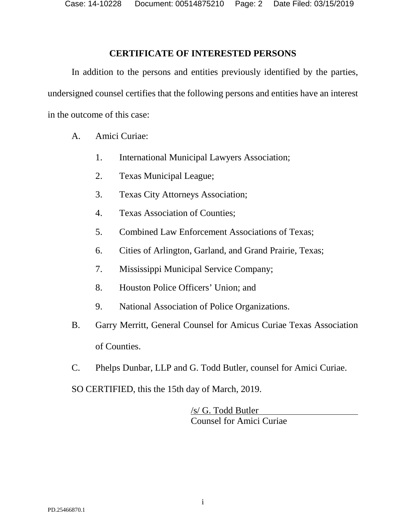Case: 14-10228 Document: 00514875210 Page: 2 Date Filed: 03/15/2019

#### **CERTIFICATE OF INTERESTED PERSONS**

<span id="page-1-0"></span>In addition to the persons and entities previously identified by the parties, undersigned counsel certifies that the following persons and entities have an interest in the outcome of this case:

- A. Amici Curiae:
	- 1. International Municipal Lawyers Association;
	- 2. Texas Municipal League;
	- 3. Texas City Attorneys Association;
	- 4. Texas Association of Counties;
	- 5. Combined Law Enforcement Associations of Texas;
	- 6. Cities of Arlington, Garland, and Grand Prairie, Texas;
	- 7. Mississippi Municipal Service Company;
	- 8. Houston Police Officers' Union; and
	- 9. National Association of Police Organizations.
- B. Garry Merritt, General Counsel for Amicus Curiae Texas Association of Counties.
- C. Phelps Dunbar, LLP and G. Todd Butler, counsel for Amici Curiae.

SO CERTIFIED, this the 15th day of March, 2019.

/s/ G. Todd Butler Counsel for Amici Curiae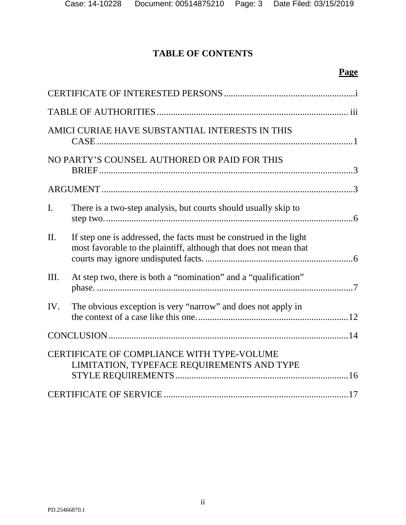# **TABLE OF CONTENTS**

# **Page**

|                | AMICI CURIAE HAVE SUBSTANTIAL INTERESTS IN THIS                                                                                         |  |
|----------------|-----------------------------------------------------------------------------------------------------------------------------------------|--|
|                | NO PARTY'S COUNSEL AUTHORED OR PAID FOR THIS                                                                                            |  |
|                |                                                                                                                                         |  |
| $\mathbf{I}$ . | There is a two-step analysis, but courts should usually skip to                                                                         |  |
| $\Pi$ .        | If step one is addressed, the facts must be construed in the light<br>most favorable to the plaintiff, although that does not mean that |  |
| Ш.             | At step two, there is both a "nomination" and a "qualification"                                                                         |  |
| IV.            | The obvious exception is very "narrow" and does not apply in                                                                            |  |
|                |                                                                                                                                         |  |
|                | CERTIFICATE OF COMPLIANCE WITH TYPE-VOLUME<br>LIMITATION, TYPEFACE REQUIREMENTS AND TYPE                                                |  |
|                |                                                                                                                                         |  |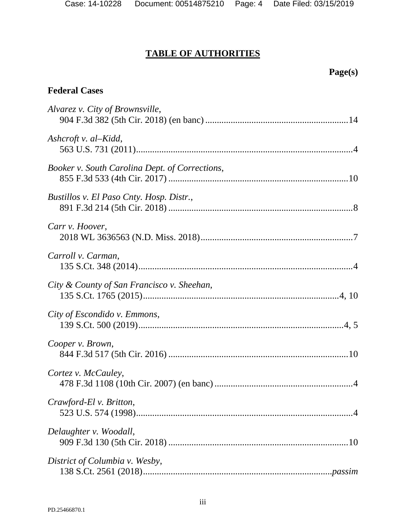# **TABLE OF AUTHORITIES**

# <span id="page-3-0"></span>**Federal Cases**

| Alvarez v. City of Brownsville,                |
|------------------------------------------------|
| Ashcroft v. al–Kidd,                           |
| Booker v. South Carolina Dept. of Corrections, |
| Bustillos v. El Paso Cnty. Hosp. Distr.,       |
| Carr v. Hoover,                                |
| Carroll v. Carman,                             |
| City & County of San Francisco v. Sheehan,     |
| City of Escondido v. Emmons,                   |
| Cooper v. Brown,                               |
| Cortez v. McCauley,                            |
| <i>Crawford-Elv. Britton,</i>                  |
| Delaughter v. Woodall,                         |
| District of Columbia v. Wesby,                 |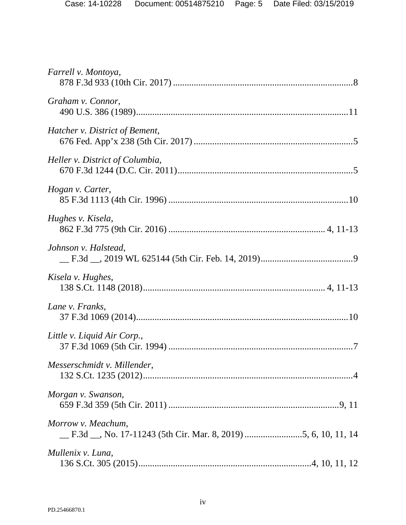| Farrell v. Montoya,             |
|---------------------------------|
| Graham v. Connor,               |
| Hatcher v. District of Bement,  |
| Heller v. District of Columbia, |
| Hogan v. Carter,                |
| Hughes v. Kisela,               |
| Johnson v. Halstead,            |
| Kisela v. Hughes,               |
| Lane v. Franks,                 |
| Little v. Liquid Air Corp.,     |
| Messerschmidt v. Millender,     |
| Morgan v. Swanson,              |
| Morrow v. Meachum,              |
| Mullenix v. Luna,               |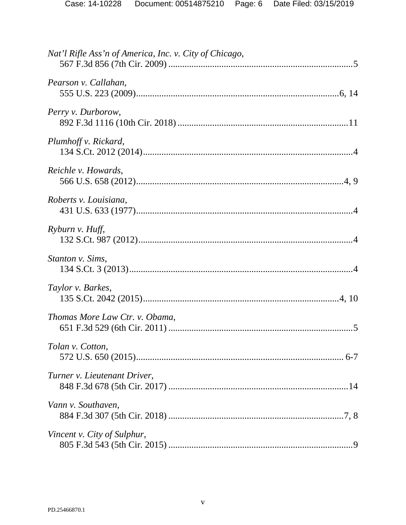| Nat'l Rifle Ass'n of America, Inc. v. City of Chicago, |
|--------------------------------------------------------|
| Pearson v. Callahan,                                   |
| Perry v. Durborow,                                     |
| Plumhoff v. Rickard,                                   |
| Reichle v. Howards,                                    |
| Roberts v. Louisiana,                                  |
| Ryburn v. Huff,                                        |
| Stanton v. Sims,                                       |
| Taylor v. Barkes,                                      |
| Thomas More Law Ctr. v. Obama,                         |
| Tolan v. Cotton,                                       |
| Turner v. Lieutenant Driver,                           |
| Vann v. Southaven,                                     |
| Vincent v. City of Sulphur,                            |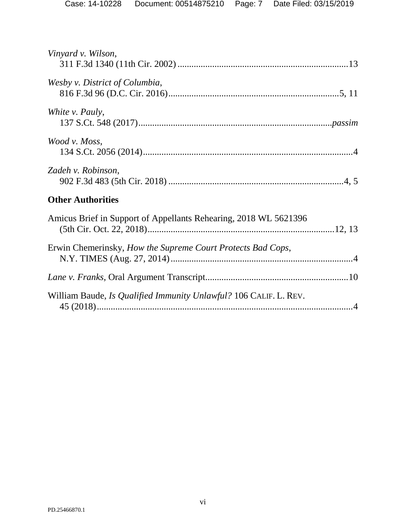| Vinyard v. Wilson,                                                |
|-------------------------------------------------------------------|
| Wesby v. District of Columbia,                                    |
| White <i>v</i> . Pauly,                                           |
| Wood v. Moss,                                                     |
| Zadeh v. Robinson,                                                |
| <b>Other Authorities</b>                                          |
| Amicus Brief in Support of Appellants Rehearing, 2018 WL 5621396  |
| Erwin Chemerinsky, How the Supreme Court Protects Bad Cops,       |
|                                                                   |
| William Baude, Is Qualified Immunity Unlawful? 106 CALIF. L. REV. |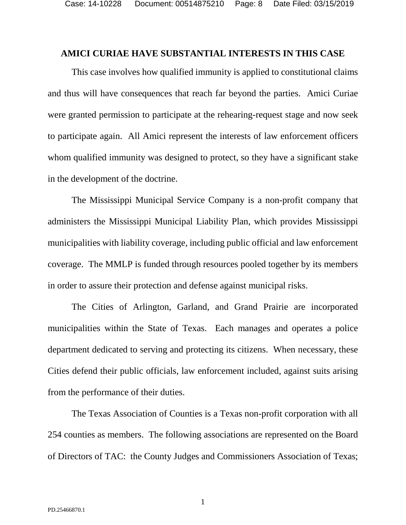#### <span id="page-7-0"></span>**AMICI CURIAE HAVE SUBSTANTIAL INTERESTS IN THIS CASE**

This case involves how qualified immunity is applied to constitutional claims and thus will have consequences that reach far beyond the parties. Amici Curiae were granted permission to participate at the rehearing-request stage and now seek to participate again. All Amici represent the interests of law enforcement officers whom qualified immunity was designed to protect, so they have a significant stake in the development of the doctrine.

The Mississippi Municipal Service Company is a non-profit company that administers the Mississippi Municipal Liability Plan, which provides Mississippi municipalities with liability coverage, including public official and law enforcement coverage. The MMLP is funded through resources pooled together by its members in order to assure their protection and defense against municipal risks.

The Cities of Arlington, Garland, and Grand Prairie are incorporated municipalities within the State of Texas. Each manages and operates a police department dedicated to serving and protecting its citizens. When necessary, these Cities defend their public officials, law enforcement included, against suits arising from the performance of their duties.

The Texas Association of Counties is a Texas non-profit corporation with all 254 counties as members. The following associations are represented on the Board of Directors of TAC: the County Judges and Commissioners Association of Texas;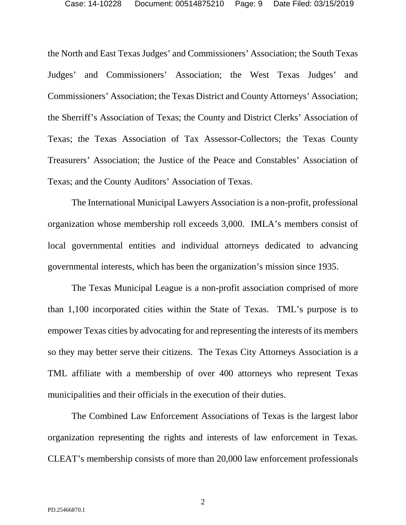the North and East Texas Judges' and Commissioners' Association; the South Texas Judges' and Commissioners' Association; the West Texas Judges' and Commissioners' Association; the Texas District and County Attorneys' Association; the Sherriff's Association of Texas; the County and District Clerks' Association of Texas; the Texas Association of Tax Assessor-Collectors; the Texas County Treasurers' Association; the Justice of the Peace and Constables' Association of Texas; and the County Auditors' Association of Texas.

The International Municipal Lawyers Association is a non-profit, professional organization whose membership roll exceeds 3,000. IMLA's members consist of local governmental entities and individual attorneys dedicated to advancing governmental interests, which has been the organization's mission since 1935.

The Texas Municipal League is a non-profit association comprised of more than 1,100 incorporated cities within the State of Texas. TML's purpose is to empower Texas cities by advocating for and representing the interests of its members so they may better serve their citizens. The Texas City Attorneys Association is a TML affiliate with a membership of over 400 attorneys who represent Texas municipalities and their officials in the execution of their duties.

The Combined Law Enforcement Associations of Texas is the largest labor organization representing the rights and interests of law enforcement in Texas. CLEAT's membership consists of more than 20,000 law enforcement professionals

2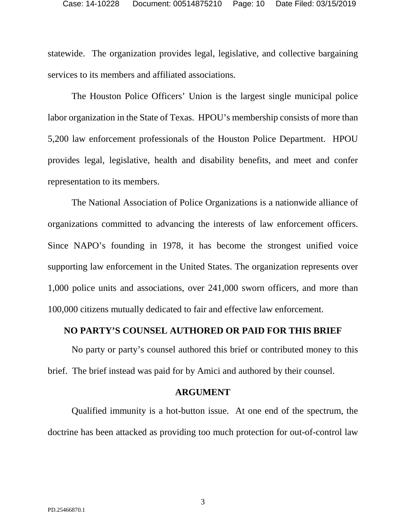statewide. The organization provides legal, legislative, and collective bargaining services to its members and affiliated associations.

The Houston Police Officers' Union is the largest single municipal police labor organization in the State of Texas. HPOU's membership consists of more than 5,200 law enforcement professionals of the Houston Police Department. HPOU provides legal, legislative, health and disability benefits, and meet and confer representation to its members.

The National Association of Police Organizations is a nationwide alliance of organizations committed to advancing the interests of law enforcement officers. Since NAPO's founding in 1978, it has become the strongest unified voice supporting law enforcement in the United States. The organization represents over 1,000 police units and associations, over 241,000 sworn officers, and more than 100,000 citizens mutually dedicated to fair and effective law enforcement.

#### <span id="page-9-0"></span>**NO PARTY'S COUNSEL AUTHORED OR PAID FOR THIS BRIEF**

No party or party's counsel authored this brief or contributed money to this brief. The brief instead was paid for by Amici and authored by their counsel.

#### **ARGUMENT**

<span id="page-9-1"></span>Qualified immunity is a hot-button issue. At one end of the spectrum, the doctrine has been attacked as providing too much protection for out-of-control law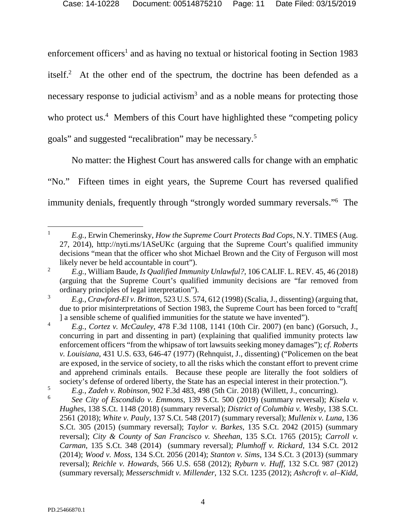enforcement officers<sup>1</sup> and as having no textual or historical footing in Section 1983 itself.<sup>2</sup> At the other end of the spectrum, the doctrine has been defended as a necessary response to judicial activism<sup>3</sup> and as a noble means for protecting those who protect us.<sup>4</sup> Members of this Court have highlighted these "competing policy goals" and suggested "recalibration" may be necessary.<sup>5</sup>

No matter: the Highest Court has answered calls for change with an emphatic "No." Fifteen times in eight years, the Supreme Court has reversed qualified immunity denials, frequently through "strongly worded summary reversals."<sup>6</sup> The

<span id="page-10-19"></span> $\overline{a}$ 1 *E.g.,* Erwin Chemerinsky, *How the Supreme Court Protects Bad Cops*, N.Y. TIMES (Aug. 27, 2014), http://nyti.ms/1ASeUKc (arguing that the Supreme Court's qualified immunity decisions "mean that the officer who shot Michael Brown and the City of Ferguson will most likely never be held accountable in court").

<span id="page-10-20"></span><sup>2</sup> *E.g.,* William Baude, *Is Qualified Immunity Unlawful?*, 106 CALIF. L. REV. 45, 46 (2018) (arguing that the Supreme Court's qualified immunity decisions are "far removed from ordinary principles of legal interpretation").

<span id="page-10-5"></span><sup>3</sup> *E.g., Crawford-El v. Britton*, 523 U.S. 574, 612 (1998) (Scalia, J., dissenting) (arguing that, due to prior misinterpretations of Section 1983, the Supreme Court has been forced to "craft[ ] a sensible scheme of qualified immunities for the statute we have invented").

<span id="page-10-12"></span><span id="page-10-4"></span><sup>4</sup> *E.g., Cortez v. McCauley*, 478 F.3d 1108, 1141 (10th Cir. 2007) (en banc) (Gorsuch, J., concurring in part and dissenting in part) (explaining that qualified immunity protects law enforcement officers "from the whipsaw of tort lawsuits seeking money damages"); *cf. Roberts v. Louisiana*, 431 U.S. 633, 646-47 (1977) (Rehnquist, J., dissenting) ("Policemen on the beat are exposed, in the service of society, to all the risks which the constant effort to prevent crime and apprehend criminals entails. Because these people are literally the foot soldiers of society's defense of ordered liberty, the State has an especial interest in their protection.").

<span id="page-10-18"></span><sup>5</sup> *E.g., Zadeh v. Robinson*, 902 F.3d 483, 498 (5th Cir. 2018) (Willett, J., concurring).

<span id="page-10-17"></span><span id="page-10-16"></span><span id="page-10-15"></span><span id="page-10-14"></span><span id="page-10-13"></span><span id="page-10-11"></span><span id="page-10-10"></span><span id="page-10-9"></span><span id="page-10-8"></span><span id="page-10-7"></span><span id="page-10-6"></span><span id="page-10-3"></span><span id="page-10-2"></span><span id="page-10-1"></span><span id="page-10-0"></span><sup>6</sup> *See City of Escondido v. Emmons*, 139 S.Ct. 500 (2019) (summary reversal); *Kisela v. Hughes*, 138 S.Ct. 1148 (2018) (summary reversal); *District of Columbia v. Wesby*, 138 S.Ct. 2561 (2018); *White v. Pauly,* 137 S.Ct. 548 (2017) (summary reversal); *Mullenix v. Luna*, 136 S.Ct. 305 (2015) (summary reversal); *Taylor v. Barkes*, 135 S.Ct. 2042 (2015) (summary reversal); *City & County of San Francisco v. Sheehan*, 135 S.Ct. 1765 (2015); *Carroll v. Carman*, 135 S.Ct. 348 (2014) (summary reversal); *Plumhoff v. Rickard*, 134 S.Ct. 2012 (2014); *Wood v. Moss*, 134 S.Ct. 2056 (2014); *Stanton v. Sims*, 134 S.Ct. 3 (2013) (summary reversal); *Reichle v. Howards*, 566 U.S. 658 (2012); *Ryburn v. Huff*, 132 S.Ct. 987 (2012) (summary reversal); *Messerschmidt v. Millender*, 132 S.Ct. 1235 (2012); *Ashcroft v. al–Kidd*,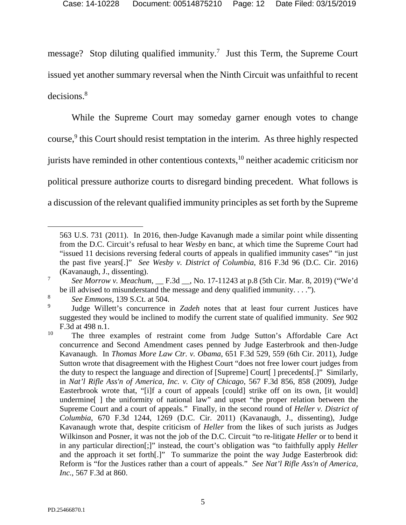message? Stop diluting qualified immunity.<sup>7</sup> Just this Term, the Supreme Court issued yet another summary reversal when the Ninth Circuit was unfaithful to recent decisions.<sup>8</sup>

While the Supreme Court may someday garner enough votes to change course,<sup>9</sup> this Court should resist temptation in the interim. As three highly respected jurists have reminded in other contentious contexts, $10$  neither academic criticism nor political pressure authorize courts to disregard binding precedent. What follows is a discussion of the relevant qualified immunity principles as set forth by the Supreme

<span id="page-11-6"></span><span id="page-11-5"></span><sup>563</sup> U.S. 731 (2011). In 2016, then-Judge Kavanugh made a similar point while dissenting from the D.C. Circuit's refusal to hear *Wesby* en banc, at which time the Supreme Court had "issued 11 decisions reversing federal courts of appeals in qualified immunity cases" "in just the past five years[.]" *See Wesby v. District of Columbia*, 816 F.3d 96 (D.C. Cir. 2016) (Kavanaugh, J., dissenting).

<span id="page-11-2"></span><sup>7</sup> *See Morrow v. Meachum*, \_\_ F.3d \_\_, No. 17-11243 at p.8 (5th Cir. Mar. 8, 2019) ("We'd be ill advised to misunderstand the message and deny qualified immunity.  $\dots$ ").

<span id="page-11-0"></span><sup>8</sup> *See Emmons*, 139 S.Ct. at 504.

<sup>9</sup> Judge Willett's concurrence in *Zadeh* notes that at least four current Justices have suggested they would be inclined to modify the current state of qualified immunity. *See* 902 F.3d at 498 n.1.

<span id="page-11-4"></span><span id="page-11-3"></span><span id="page-11-1"></span><sup>&</sup>lt;sup>10</sup> The three examples of restraint come from Judge Sutton's Affordable Care Act concurrence and Second Amendment cases penned by Judge Easterbrook and then-Judge Kavanaugh. In *Thomas More Law Ctr. v. Obama*, 651 F.3d 529, 559 (6th Cir. 2011), Judge Sutton wrote that disagreement with the Highest Court "does not free lower court judges from the duty to respect the language and direction of [Supreme] Court[ ] precedents[.]" Similarly, in *Nat'l Rifle Ass'n of America, Inc. v. City of Chicago*, 567 F.3d 856, 858 (2009), Judge Easterbrook wrote that, "[i]f a court of appeals [could] strike off on its own, [it would] undermine[ ] the uniformity of national law" and upset "the proper relation between the Supreme Court and a court of appeals." Finally, in the second round of *Heller v. District of Columbia*, 670 F.3d 1244, 1269 (D.C. Cir. 2011) (Kavanaugh, J., dissenting), Judge Kavanaugh wrote that, despite criticism of *Heller* from the likes of such jurists as Judges Wilkinson and Posner, it was not the job of the D.C. Circuit "to re-litigate *Heller* or to bend it in any particular direction[;]" instead, the court's obligation was "to faithfully apply *Heller* and the approach it set forth[.]" To summarize the point the way Judge Easterbrook did: Reform is "for the Justices rather than a court of appeals." *See Nat'l Rifle Ass'n of America, Inc.*, 567 F.3d at 860.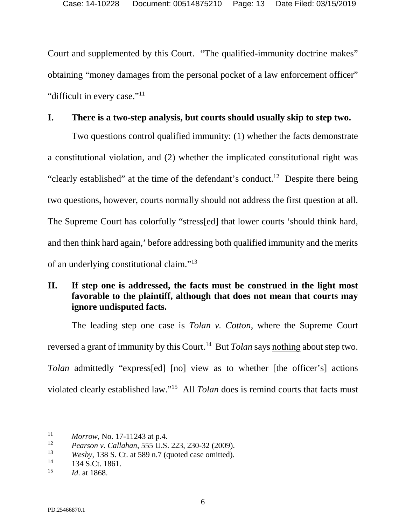Court and supplemented by this Court. "The qualified-immunity doctrine makes" obtaining "money damages from the personal pocket of a law enforcement officer" "difficult in every case."<sup>11</sup>

### <span id="page-12-0"></span>**I. There is a two-step analysis, but courts should usually skip to step two.**

Two questions control qualified immunity: (1) whether the facts demonstrate a constitutional violation, and (2) whether the implicated constitutional right was "clearly established" at the time of the defendant's conduct.<sup>12</sup> Despite there being two questions, however, courts normally should not address the first question at all. The Supreme Court has colorfully "stress[ed] that lower courts 'should think hard, and then think hard again,' before addressing both qualified immunity and the merits of an underlying constitutional claim."<sup>13</sup>

# <span id="page-12-1"></span>**II. If step one is addressed, the facts must be construed in the light most favorable to the plaintiff, although that does not mean that courts may ignore undisputed facts.**

The leading step one case is *Tolan v. Cotton*, where the Supreme Court reversed a grant of immunity by this Court.<sup>14</sup> But *Tolan* says nothing about step two. *Tolan* admittedly "express[ed] [no] view as to whether [the officer's] actions violated clearly established law."<sup>15</sup> All *Tolan* does is remind courts that facts must

<sup>11</sup> *Morrow*, No. 17-11243 at p.4.

<span id="page-12-2"></span><sup>12</sup> *Pearson v. Callahan*, 555 U.S. 223, 230-32 (2009).

<sup>13</sup> *Wesby*, 138 S. Ct. at 589 n.7 (quoted case omitted).

<sup>&</sup>lt;sup>14</sup> 134 S.Ct. 1861.

<sup>15</sup> *Id*. at 1868.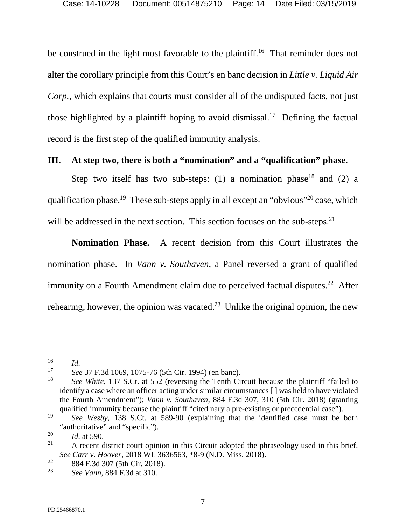be construed in the light most favorable to the plaintiff.<sup>16</sup> That reminder does not alter the corollary principle from this Court's en banc decision in *Little v. Liquid Air Corp.*, which explains that courts must consider all of the undisputed facts, not just those highlighted by a plaintiff hoping to avoid dismissal.<sup>17</sup> Defining the factual record is the first step of the qualified immunity analysis.

### <span id="page-13-0"></span>**III. At step two, there is both a "nomination" and a "qualification" phase.**

Step two itself has two sub-steps: (1) a nomination phase<sup>18</sup> and (2) a qualification phase.<sup>19</sup> These sub-steps apply in all except an "obvious"<sup>20</sup> case, which will be addressed in the next section. This section focuses on the sub-steps.<sup>21</sup>

**Nomination Phase.** A recent decision from this Court illustrates the nomination phase. In *Vann v. Southaven*, a Panel reversed a grant of qualified immunity on a Fourth Amendment claim due to perceived factual disputes.<sup>22</sup> After rehearing, however, the opinion was vacated.<sup>23</sup> Unlike the original opinion, the new

<sup>16</sup> *Id*.

<sup>17</sup> *See* 37 F.3d 1069, 1075-76 (5th Cir. 1994) (en banc).

<span id="page-13-2"></span><sup>18</sup> *See White*, 137 S.Ct. at 552 (reversing the Tenth Circuit because the plaintiff "failed to identify a case where an officer acting under similar circumstances [ ] was held to have violated the Fourth Amendment"); *Vann v. Southaven*, 884 F.3d 307, 310 (5th Cir. 2018) (granting qualified immunity because the plaintiff "cited nary a pre-existing or precedential case").

<sup>19</sup> *See Wesby*, 138 S.Ct. at 589-90 (explaining that the identified case must be both "authoritative" and "specific").

<sup>20</sup>  $\frac{20}{21}$  *Id.* at 590.

<span id="page-13-1"></span>A recent district court opinion in this Circuit adopted the phraseology used in this brief. *See Carr v. Hoover*, 2018 WL 3636563, \*8-9 (N.D. Miss. 2018).

<sup>22</sup> 884 F.3d 307 (5th Cir. 2018).

<sup>23</sup> *See Vann*, 884 F.3d at 310.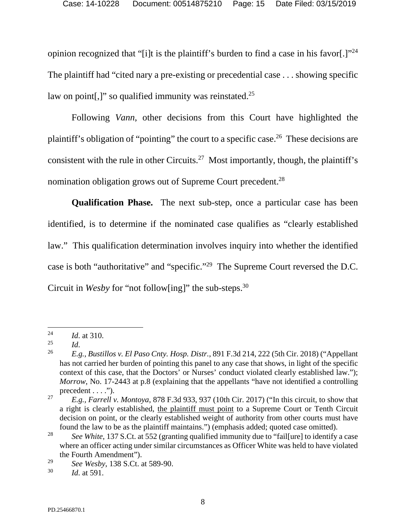opinion recognized that "[i]t is the plaintiff's burden to find a case in his favor[.] $"^{24}$ The plaintiff had "cited nary a pre-existing or precedential case . . . showing specific law on point[,]" so qualified immunity was reinstated.<sup>25</sup>

Following *Vann*, other decisions from this Court have highlighted the plaintiff's obligation of "pointing" the court to a specific case.<sup>26</sup> These decisions are consistent with the rule in other Circuits.<sup>27</sup> Most importantly, though, the plaintiff's nomination obligation grows out of Supreme Court precedent.<sup>28</sup>

**Qualification Phase.** The next sub-step, once a particular case has been identified, is to determine if the nominated case qualifies as "clearly established law." This qualification determination involves inquiry into whether the identified case is both "authoritative" and "specific."<sup>29</sup> The Supreme Court reversed the D.C. Circuit in *Wesby* for "not follow[ing]" the sub-steps.<sup>30</sup>

<span id="page-14-2"></span><sup>24</sup> *Id*. at 310.

<sup>25</sup> *Id*.

<span id="page-14-0"></span><sup>26</sup> *E.g., Bustillos v. El Paso Cnty. Hosp. Distr.*, 891 F.3d 214, 222 (5th Cir. 2018) ("Appellant has not carried her burden of pointing this panel to any case that shows, in light of the specific context of this case, that the Doctors' or Nurses' conduct violated clearly established law."); *Morrow*, No. 17-2443 at p.8 (explaining that the appellants "have not identified a controlling precedent  $\dots$ .").

<span id="page-14-1"></span><sup>27</sup> *E.g., Farrell v. Montoya*, 878 F.3d 933, 937 (10th Cir. 2017) ("In this circuit, to show that a right is clearly established, the plaintiff must point to a Supreme Court or Tenth Circuit decision on point, or the clearly established weight of authority from other courts must have found the law to be as the plaintiff maintains.") (emphasis added; quoted case omitted).

<sup>28</sup> *See White*, 137 S.Ct. at 552 (granting qualified immunity due to "fail[ure] to identify a case where an officer acting under similar circumstances as Officer White was held to have violated the Fourth Amendment").

<sup>29</sup> *See Wesby*, 138 S.Ct. at 589-90.

<sup>30</sup> *Id*. at 591.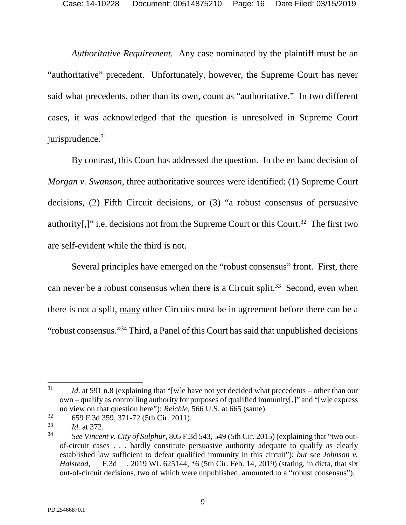*Authoritative Requirement.* Any case nominated by the plaintiff must be an "authoritative" precedent. Unfortunately, however, the Supreme Court has never said what precedents, other than its own, count as "authoritative." In two different cases, it was acknowledged that the question is unresolved in Supreme Court jurisprudence.<sup>31</sup>

By contrast, this Court has addressed the question. In the en banc decision of *Morgan v. Swanson*, three authoritative sources were identified: (1) Supreme Court decisions, (2) Fifth Circuit decisions, or (3) "a robust consensus of persuasive authority[,]" i.e. decisions not from the Supreme Court or this Court.<sup>32</sup> The first two are self-evident while the third is not.

Several principles have emerged on the "robust consensus" front. First, there can never be a robust consensus when there is a Circuit split.<sup>33</sup> Second, even when there is not a split, many other Circuits must be in agreement before there can be a "robust consensus."<sup>34</sup> Third, a Panel of this Court has said that unpublished decisions

<sup>31</sup> *Id.* at 591 n.8 (explaining that "[w]e have not yet decided what precedents – other than our own – qualify as controlling authority for purposes of qualified immunity[,]" and "[w]e express no view on that question here"); *Reichle*, 566 U.S. at 665 (same).

<span id="page-15-1"></span><sup>32</sup> 659 F.3d 359, 371-72 (5th Cir. 2011).

<sup>33</sup> *Id*. at 372.

<span id="page-15-2"></span><span id="page-15-0"></span><sup>34</sup> *See Vincent v. City of Sulphur*, 805 F.3d 543, 549 (5th Cir. 2015) (explaining that "two outof-circuit cases . . . hardly constitute persuasive authority adequate to qualify as clearly established law sufficient to defeat qualified immunity in this circuit"); *but see Johnson v. Halstead*, F.3d , 2019 WL 625144,  $*6$  (5th Cir. Feb. 14, 2019) (stating, in dicta, that six out-of-circuit decisions, two of which were unpublished, amounted to a "robust consensus").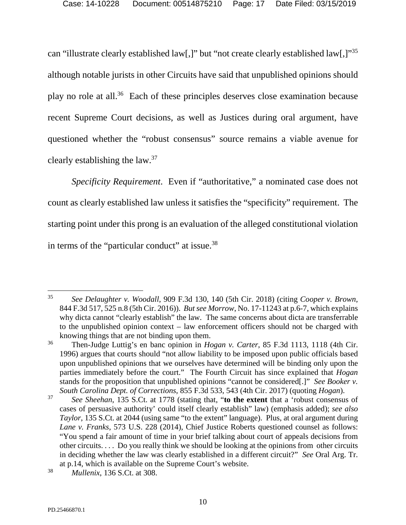can "illustrate clearly established law[,]" but "not create clearly established law[,]"<sup>35</sup> although notable jurists in other Circuits have said that unpublished opinions should play no role at all.<sup>36</sup> Each of these principles deserves close examination because recent Supreme Court decisions, as well as Justices during oral argument, have questioned whether the "robust consensus" source remains a viable avenue for clearly establishing the law. $37$ 

*Specificity Requirement*. Even if "authoritative," a nominated case does not count as clearly established law unless it satisfies the "specificity" requirement. The starting point under this prong is an evaluation of the alleged constitutional violation in terms of the "particular conduct" at issue.<sup>38</sup>

<span id="page-16-2"></span> $\overline{a}$ 35 *See Delaughter v. Woodall*, 909 F.3d 130, 140 (5th Cir. 2018) (citing *Cooper v. Brown*, 844 F.3d 517, 525 n.8 (5th Cir. 2016)). *But see Morrow*, No. 17-11243 at p.6-7, which explains why dicta cannot "clearly establish" the law. The same concerns about dicta are transferrable to the unpublished opinion context – law enforcement officers should not be charged with knowing things that are not binding upon them.

<span id="page-16-3"></span><sup>36</sup> Then-Judge Luttig's en banc opinion in *Hogan v. Carter*, 85 F.3d 1113, 1118 (4th Cir. 1996) argues that courts should "not allow liability to be imposed upon public officials based upon unpublished opinions that we ourselves have determined will be binding only upon the parties immediately before the court." The Fourth Circuit has since explained that *Hogan*  stands for the proposition that unpublished opinions "cannot be considered[.]" *See Booker v. South Carolina Dept. of Corrections*, 855 F.3d 533, 543 (4th Cir. 2017) (quoting *Hogan*).

<span id="page-16-6"></span><span id="page-16-4"></span><span id="page-16-1"></span><span id="page-16-0"></span><sup>37</sup> *See Sheehan*, 135 S.Ct. at 1778 (stating that, "**to the extent** that a 'robust consensus of cases of persuasive authority' could itself clearly establish" law) (emphasis added); *see also Taylor*, 135 S.Ct. at 2044 (using same "to the extent" language). Plus, at oral argument during *Lane v. Franks*, 573 U.S. 228 (2014), Chief Justice Roberts questioned counsel as follows: "You spend a fair amount of time in your brief talking about court of appeals decisions from other circuits. . . . Do you really think we should be looking at the opinions from other circuits in deciding whether the law was clearly established in a different circuit?" *See* Oral Arg. Tr. at p.14, which is available on the Supreme Court's website.

<span id="page-16-5"></span><sup>38</sup> *Mullenix*, 136 S.Ct. at 308.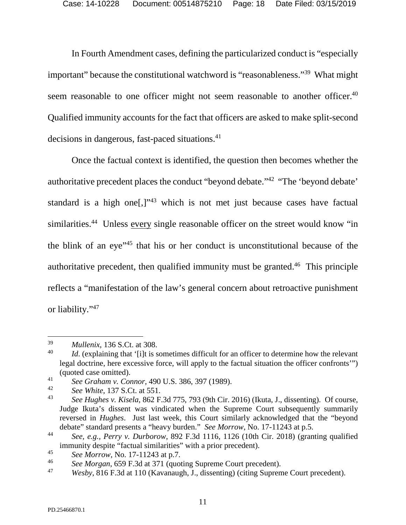In Fourth Amendment cases, defining the particularized conduct is "especially important" because the constitutional watchword is "reasonableness."<sup>39</sup> What might seem reasonable to one officer might not seem reasonable to another officer.<sup>40</sup> Qualified immunity accounts for the fact that officers are asked to make split-second decisions in dangerous, fast-paced situations.<sup>41</sup>

Once the factual context is identified, the question then becomes whether the authoritative precedent places the conduct "beyond debate."<sup>42</sup> "The 'beyond debate' standard is a high one<sup>[1]</sup><sup>143</sup> which is not met just because cases have factual similarities.<sup>44</sup> Unless every single reasonable officer on the street would know "in the blink of an eye"<sup>45</sup> that his or her conduct is unconstitutional because of the authoritative precedent, then qualified immunity must be granted.<sup>46</sup> This principle reflects a "manifestation of the law's general concern about retroactive punishment or liability."<sup>47</sup>

<span id="page-17-2"></span><sup>39</sup> *Mullenix*, 136 S.Ct. at 308.

<sup>40</sup> *Id.* (explaining that '[i]t is sometimes difficult for an officer to determine how the relevant legal doctrine, here excessive force, will apply to the factual situation the officer confronts'") (quoted case omitted).

<span id="page-17-0"></span><sup>41</sup> *See Graham v. Connor*, 490 U.S. 386, 397 (1989).

<sup>42</sup> *See White*, 137 S.Ct. at 551.

<span id="page-17-1"></span><sup>43</sup> *See Hughes v. Kisela*, 862 F.3d 775, 793 (9th Cir. 2016) (Ikuta, J., dissenting). Of course, Judge Ikuta's dissent was vindicated when the Supreme Court subsequently summarily reversed in *Hughes*. Just last week, this Court similarly acknowledged that the "beyond debate" standard presents a "heavy burden." *See Morrow*, No. 17-11243 at p.5.

<span id="page-17-3"></span><sup>44</sup> *See, e.g., Perry v. Durborow*, 892 F.3d 1116, 1126 (10th Cir. 2018) (granting qualified immunity despite "factual similarities" with a prior precedent).

<sup>45</sup> *See Morrow*, No. 17-11243 at p.7.

<sup>46</sup> *See Morgan*, 659 F.3d at 371 (quoting Supreme Court precedent).

<span id="page-17-4"></span><sup>47</sup> *Wesby*, 816 F.3d at 110 (Kavanaugh, J., dissenting) (citing Supreme Court precedent).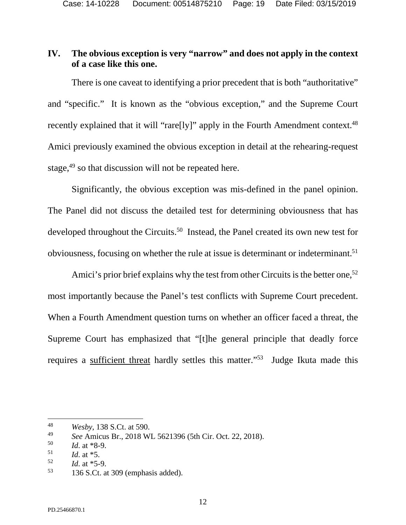# <span id="page-18-0"></span>**IV. The obvious exception is very "narrow" and does not apply in the context of a case like this one.**

There is one caveat to identifying a prior precedent that is both "authoritative" and "specific." It is known as the "obvious exception," and the Supreme Court recently explained that it will "rare[ly]" apply in the Fourth Amendment context.<sup>48</sup> Amici previously examined the obvious exception in detail at the rehearing-request stage,<sup>49</sup> so that discussion will not be repeated here.

Significantly, the obvious exception was mis-defined in the panel opinion. The Panel did not discuss the detailed test for determining obviousness that has developed throughout the Circuits.<sup>50</sup> Instead, the Panel created its own new test for obviousness, focusing on whether the rule at issue is determinant or indeterminant.<sup>51</sup>

Amici's prior brief explains why the test from other Circuits is the better one,<sup>52</sup> most importantly because the Panel's test conflicts with Supreme Court precedent. When a Fourth Amendment question turns on whether an officer faced a threat, the Supreme Court has emphasized that "[t]he general principle that deadly force requires a sufficient threat hardly settles this matter."<sup>53</sup> Judge Ikuta made this

<sup>48</sup> *Wesby*, 138 S.Ct. at 590.

<sup>49</sup> *See* Amicus Br., 2018 WL 5621396 (5th Cir. Oct. 22, 2018).

<sup>50</sup> *Id*. at \*8-9.

<sup>51</sup> *Id*. at \*5.

<sup>52</sup>  $\frac{52}{53}$  *Id.* at \*5-9.

<span id="page-18-1"></span><sup>53</sup> 136 S.Ct. at 309 (emphasis added).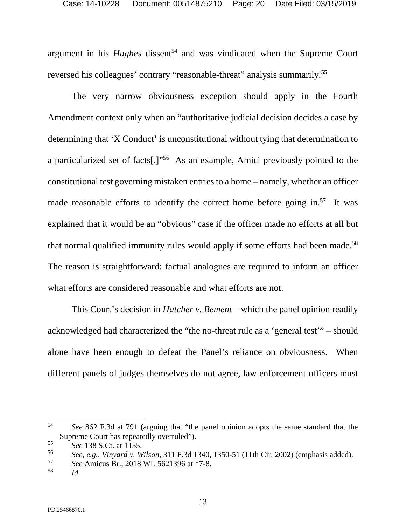argument in his *Hughes* dissent<sup>54</sup> and was vindicated when the Supreme Court reversed his colleagues' contrary "reasonable-threat" analysis summarily.<sup>55</sup>

The very narrow obviousness exception should apply in the Fourth Amendment context only when an "authoritative judicial decision decides a case by determining that 'X Conduct' is unconstitutional without tying that determination to a particularized set of facts[.]"<sup>56</sup> As an example, Amici previously pointed to the constitutional test governing mistaken entries to a home – namely, whether an officer made reasonable efforts to identify the correct home before going in. $57$  It was explained that it would be an "obvious" case if the officer made no efforts at all but that normal qualified immunity rules would apply if some efforts had been made.<sup>58</sup> The reason is straightforward: factual analogues are required to inform an officer what efforts are considered reasonable and what efforts are not.

This Court's decision in *Hatcher v. Bement* – which the panel opinion readily acknowledged had characterized the "the no-threat rule as a 'general test'" – should alone have been enough to defeat the Panel's reliance on obviousness. When different panels of judges themselves do not agree, law enforcement officers must

<span id="page-19-2"></span>56 *See, e.g., Vinyard v. Wilson*, 311 F.3d 1340, 1350-51 (11th Cir. 2002) (emphasis added).

<span id="page-19-0"></span><sup>54</sup> *See* 862 F.3d at 791 (arguing that "the panel opinion adopts the same standard that the Supreme Court has repeatedly overruled").

<span id="page-19-1"></span><sup>55</sup> *See* 138 S.Ct. at 1155.

<sup>57</sup> *See* Amicus Br., 2018 WL 5621396 at \*7-8.

<sup>58</sup> *Id*.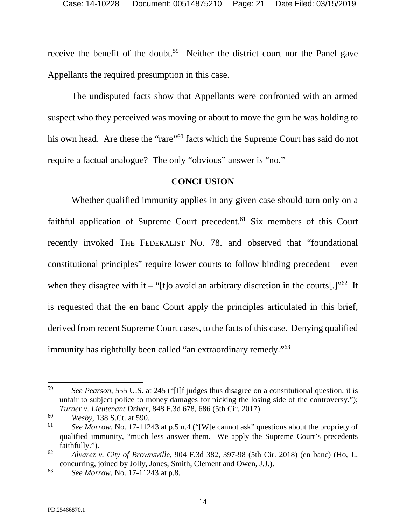receive the benefit of the doubt.<sup>59</sup> Neither the district court nor the Panel gave Appellants the required presumption in this case.

The undisputed facts show that Appellants were confronted with an armed suspect who they perceived was moving or about to move the gun he was holding to his own head. Are these the "rare"<sup>60</sup> facts which the Supreme Court has said do not require a factual analogue? The only "obvious" answer is "no."

#### **CONCLUSION**

<span id="page-20-0"></span>Whether qualified immunity applies in any given case should turn only on a faithful application of Supreme Court precedent.<sup>61</sup> Six members of this Court recently invoked THE FEDERALIST NO. 78. and observed that "foundational constitutional principles" require lower courts to follow binding precedent – even when they disagree with it – "[t]o avoid an arbitrary discretion in the courts[.]"<sup>62</sup> It is requested that the en banc Court apply the principles articulated in this brief, derived from recent Supreme Court cases, to the facts of this case. Denying qualified immunity has rightfully been called "an extraordinary remedy."<sup>63</sup>

<span id="page-20-2"></span><sup>59</sup> *See Pearson*, 555 U.S. at 245 ("[I]f judges thus disagree on a constitutional question, it is unfair to subject police to money damages for picking the losing side of the controversy."); *Turner v. Lieutenant Driver*, 848 F.3d 678, 686 (5th Cir. 2017).

<span id="page-20-3"></span><sup>60</sup> *Wesby*, 138 S.Ct. at 590.

<sup>61</sup> *See Morrow*, No. 17-11243 at p.5 n.4 ("[W]e cannot ask" questions about the propriety of qualified immunity, "much less answer them. We apply the Supreme Court's precedents faithfully.").

<span id="page-20-1"></span><sup>62</sup> *Alvarez v. City of Brownsville*, 904 F.3d 382, 397-98 (5th Cir. 2018) (en banc) (Ho, J., concurring, joined by Jolly, Jones, Smith, Clement and Owen, J.J.).

<sup>63</sup> *See Morrow*, No. 17-11243 at p.8.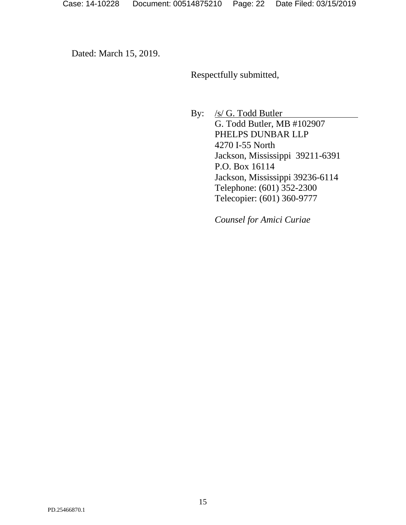Dated: March 15, 2019.

Respectfully submitted,

By: /s/ G. Todd Butler G. Todd Butler, MB #102907 PHELPS DUNBAR LLP 4270 I-55 North Jackson, Mississippi 39211-6391 P.O. Box 16114 Jackson, Mississippi 39236-6114 Telephone: (601) 352-2300 Telecopier: (601) 360-9777

*Counsel for Amici Curiae*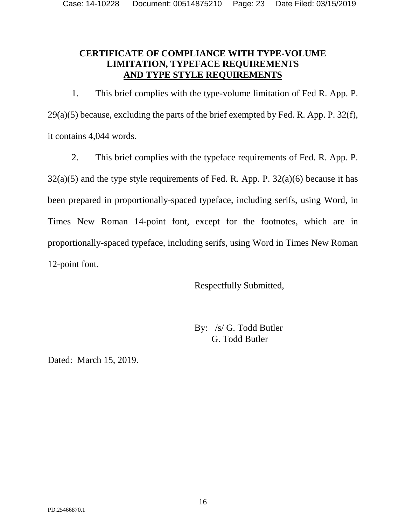## <span id="page-22-0"></span>**CERTIFICATE OF COMPLIANCE WITH TYPE-VOLUME LIMITATION, TYPEFACE REQUIREMENTS AND TYPE STYLE REQUIREMENTS**

1. This brief complies with the type-volume limitation of Fed R. App. P.  $29(a)(5)$  because, excluding the parts of the brief exempted by Fed. R. App. P. 32(f), it contains 4,044 words.

2. This brief complies with the typeface requirements of Fed. R. App. P.  $32(a)(5)$  and the type style requirements of Fed. R. App. P.  $32(a)(6)$  because it has been prepared in proportionally-spaced typeface, including serifs, using Word, in Times New Roman 14-point font, except for the footnotes, which are in proportionally-spaced typeface, including serifs, using Word in Times New Roman 12-point font.

Respectfully Submitted,

By: /s/ G. Todd Butler G. Todd Butler

Dated: March 15, 2019.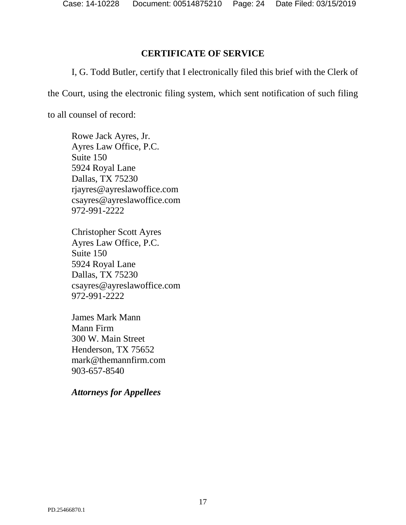### **CERTIFICATE OF SERVICE**

<span id="page-23-0"></span>I, G. Todd Butler, certify that I electronically filed this brief with the Clerk of

the Court, using the electronic filing system, which sent notification of such filing

to all counsel of record:

Rowe Jack Ayres, Jr. Ayres Law Office, P.C. Suite 150 5924 Royal Lane Dallas, TX 75230 rjayres@ayreslawoffice.com csayres@ayreslawoffice.com 972-991-2222

Christopher Scott Ayres Ayres Law Office, P.C. Suite 150 5924 Royal Lane Dallas, TX 75230 csayres@ayreslawoffice.com 972-991-2222

James Mark Mann Mann Firm 300 W. Main Street Henderson, TX 75652 mark@themannfirm.com 903-657-8540

*Attorneys for Appellees*